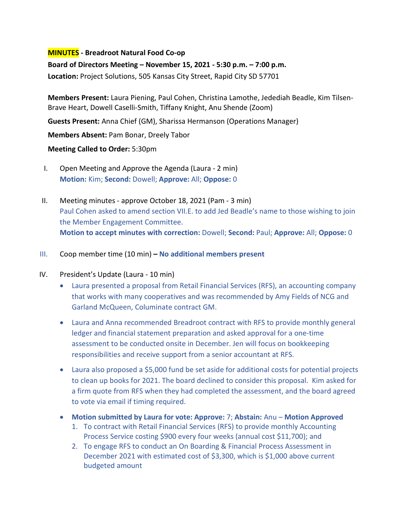#### **MINUTES - Breadroot Natural Food Co-op**

**Board of Directors Meeting – November 15, 2021 - 5:30 p.m. – 7:00 p.m.** 

**Location:** Project Solutions, 505 Kansas City Street, Rapid City SD 57701

**Members Present:** Laura Piening, Paul Cohen, Christina Lamothe, Jedediah Beadle, Kim Tilsen-Brave Heart, Dowell Caselli-Smith, Tiffany Knight, Anu Shende (Zoom)

**Guests Present:** Anna Chief (GM), Sharissa Hermanson (Operations Manager)

**Members Absent:** Pam Bonar, Dreely Tabor

#### **Meeting Called to Order:** 5:30pm

- I. Open Meeting and Approve the Agenda (Laura 2 min) **Motion:** Kim; **Second:** Dowell; **Approve:** All; **Oppose:** 0
- II. Meeting minutes approve October 18, 2021 (Pam 3 min) Paul Cohen asked to amend section VII.E. to add Jed Beadle's name to those wishing to join the Member Engagement Committee. **Motion to accept minutes with correction:** Dowell; **Second:** Paul; **Approve:** All; **Oppose:** 0
- III. Coop member time (10 min) **– No additional members present**
- IV. President's Update (Laura 10 min)
	- Laura presented a proposal from Retail Financial Services (RFS), an accounting company that works with many cooperatives and was recommended by Amy Fields of NCG and Garland McQueen, Columinate contract GM.
	- Laura and Anna recommended Breadroot contract with RFS to provide monthly general ledger and financial statement preparation and asked approval for a one-time assessment to be conducted onsite in December. Jen will focus on bookkeeping responsibilities and receive support from a senior accountant at RFS.
	- Laura also proposed a \$5,000 fund be set aside for additional costs for potential projects to clean up books for 2021. The board declined to consider this proposal. Kim asked for a firm quote from RFS when they had completed the assessment, and the board agreed to vote via email if timing required.
	- **Motion submitted by Laura for vote: Approve:** 7; **Abstain:** Anu **Motion Approved**
		- 1. To contract with Retail Financial Services (RFS) to provide monthly Accounting Process Service costing \$900 every four weeks (annual cost \$11,700); and
		- 2. To engage RFS to conduct an On Boarding & Financial Process Assessment in December 2021 with estimated cost of \$3,300, which is \$1,000 above current budgeted amount